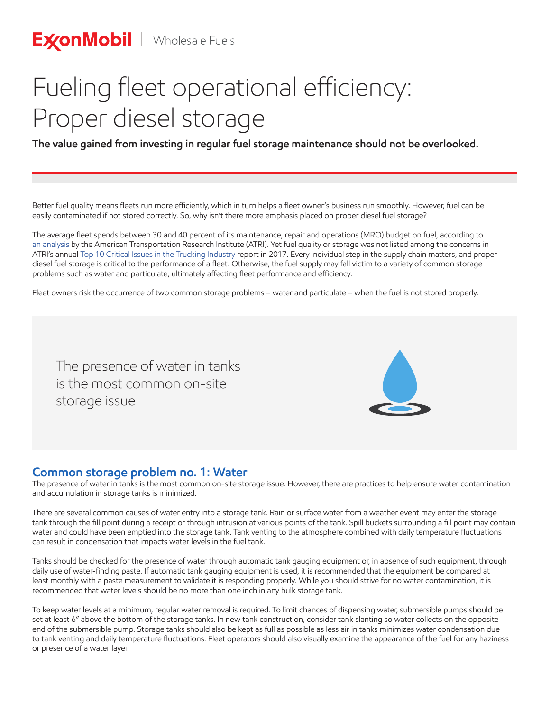# Fueling fleet operational efficiency: Proper diesel storage

**The value gained from investing in regular fuel storage maintenance should not be overlooked.**

Better fuel quality means fleets run more efficiently, which in turn helps a fleet owner's business run smoothly. However, fuel can be easily contaminated if not stored correctly. So, why isn't there more emphasis placed on proper diesel fuel storage?

The average fleet spends between 30 and 40 percent of its maintenance, repair and operations (MRO) budget on fuel, according to an analysis by the American Transportation Research Institute (ATRI). Yet fuel quality or storage was not listed among the concerns in ATRI's annual Top 10 Critical Issues in the Trucking Industry report in 2017. Every individual step in the supply chain matters, and proper diesel fuel storage is critical to the performance of a fleet. Otherwise, the fuel supply may fall victim to a variety of common storage problems such as water and particulate, ultimately affecting fleet performance and efficiency.

Fleet owners risk the occurrence of two common storage problems – water and particulate – when the fuel is not stored properly.

The presence of water in tanks is the most common on-site storage issue

## **Common storage problem no. 1: Water**

The presence of water in tanks is the most common on-site storage issue. However, there are practices to help ensure water contamination and accumulation in storage tanks is minimized.

There are several common causes of water entry into a storage tank. Rain or surface water from a weather event may enter the storage tank through the fill point during a receipt or through intrusion at various points of the tank. Spill buckets surrounding a fill point may contain water and could have been emptied into the storage tank. Tank venting to the atmosphere combined with daily temperature fluctuations can result in condensation that impacts water levels in the fuel tank.

Tanks should be checked for the presence of water through automatic tank gauging equipment or, in absence of such equipment, through daily use of water-finding paste. If automatic tank gauging equipment is used, it is recommended that the equipment be compared at least monthly with a paste measurement to validate it is responding properly. While you should strive for no water contamination, it is recommended that water levels should be no more than one inch in any bulk storage tank.

To keep water levels at a minimum, regular water removal is required. To limit chances of dispensing water, submersible pumps should be set at least 6" above the bottom of the storage tanks. In new tank construction, consider tank slanting so water collects on the opposite end of the submersible pump. Storage tanks should also be kept as full as possible as less air in tanks minimizes water condensation due to tank venting and daily temperature fluctuations. Fleet operators should also visually examine the appearance of the fuel for any haziness or presence of a water layer.